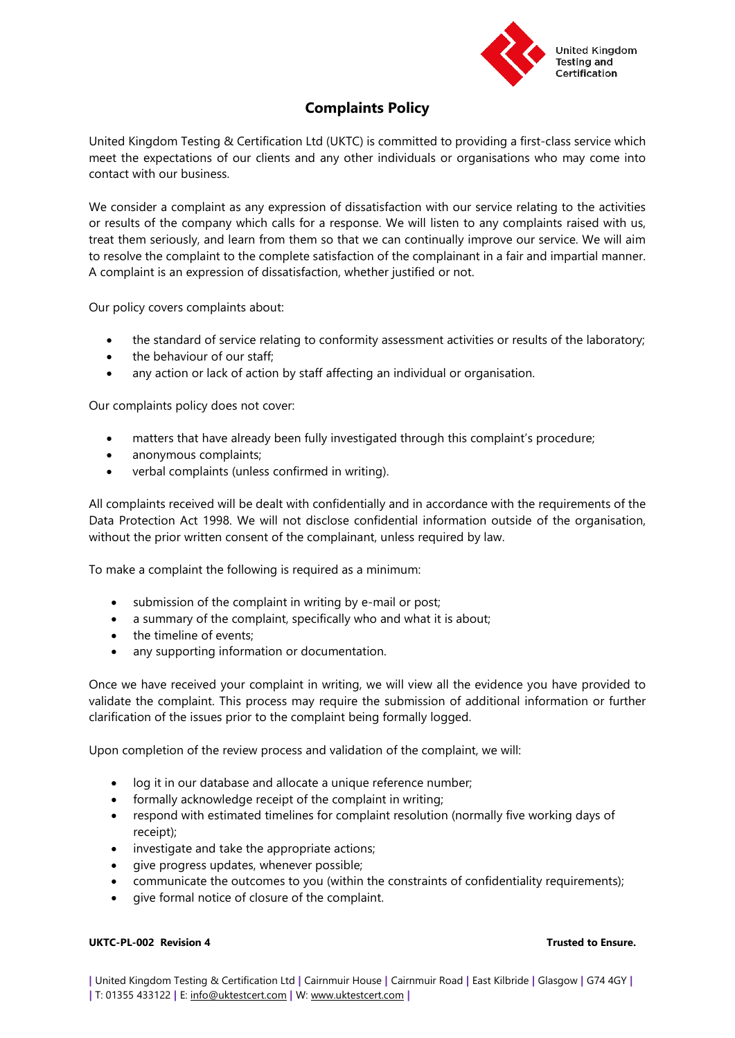

# **Complaints Policy**

United Kingdom Testing & Certification Ltd (UKTC) is committed to providing a first-class service which meet the expectations of our clients and any other individuals or organisations who may come into contact with our business.

We consider a complaint as any expression of dissatisfaction with our service relating to the activities or results of the company which calls for a response. We will listen to any complaints raised with us, treat them seriously, and learn from them so that we can continually improve our service. We will aim to resolve the complaint to the complete satisfaction of the complainant in a fair and impartial manner. A complaint is an expression of dissatisfaction, whether justified or not.

Our policy covers complaints about:

- the standard of service relating to conformity assessment activities or results of the laboratory;
- the behaviour of our staff:
- any action or lack of action by staff affecting an individual or organisation.

Our complaints policy does not cover:

- matters that have already been fully investigated through this complaint's procedure;
- anonymous complaints;
- verbal complaints (unless confirmed in writing).

All complaints received will be dealt with confidentially and in accordance with the requirements of the Data Protection Act 1998. We will not disclose confidential information outside of the organisation, without the prior written consent of the complainant, unless required by law.

To make a complaint the following is required as a minimum:

- submission of the complaint in writing by e-mail or post;
- a summary of the complaint, specifically who and what it is about;
- the timeline of events;
- any supporting information or documentation.

Once we have received your complaint in writing, we will view all the evidence you have provided to validate the complaint. This process may require the submission of additional information or further clarification of the issues prior to the complaint being formally logged.

Upon completion of the review process and validation of the complaint, we will:

- log it in our database and allocate a unique reference number;
- formally acknowledge receipt of the complaint in writing;
- respond with estimated timelines for complaint resolution (normally five working days of receipt);
- investigate and take the appropriate actions;
- give progress updates, whenever possible;
- communicate the outcomes to you (within the constraints of confidentiality requirements);
- give formal notice of closure of the complaint.

## **UKTC-PL-002 Revision 4 Trusted to Ensure.**